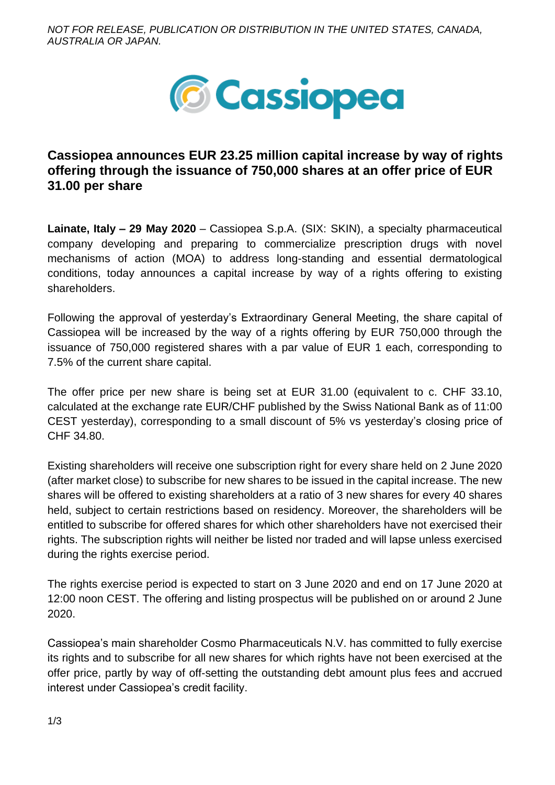*NOT FOR RELEASE, PUBLICATION OR DISTRIBUTION IN THE UNITED STATES, CANADA, AUSTRALIA OR JAPAN.*



# **Cassiopea announces EUR 23.25 million capital increase by way of rights offering through the issuance of 750,000 shares at an offer price of EUR 31.00 per share**

**Lainate, Italy – 29 May 2020** – Cassiopea S.p.A. (SIX: SKIN), a specialty pharmaceutical company developing and preparing to commercialize prescription drugs with novel mechanisms of action (MOA) to address long-standing and essential dermatological conditions, today announces a capital increase by way of a rights offering to existing shareholders.

Following the approval of yesterday's Extraordinary General Meeting, the share capital of Cassiopea will be increased by the way of a rights offering by EUR 750,000 through the issuance of 750,000 registered shares with a par value of EUR 1 each, corresponding to 7.5% of the current share capital.

The offer price per new share is being set at EUR 31.00 (equivalent to c. CHF 33.10, calculated at the exchange rate EUR/CHF published by the Swiss National Bank as of 11:00 CEST yesterday), corresponding to a small discount of 5% vs yesterday's closing price of CHF 34.80.

Existing shareholders will receive one subscription right for every share held on 2 June 2020 (after market close) to subscribe for new shares to be issued in the capital increase. The new shares will be offered to existing shareholders at a ratio of 3 new shares for every 40 shares held, subject to certain restrictions based on residency. Moreover, the shareholders will be entitled to subscribe for offered shares for which other shareholders have not exercised their rights. The subscription rights will neither be listed nor traded and will lapse unless exercised during the rights exercise period.

The rights exercise period is expected to start on 3 June 2020 and end on 17 June 2020 at 12:00 noon CEST. The offering and listing prospectus will be published on or around 2 June 2020.

Cassiopea's main shareholder Cosmo Pharmaceuticals N.V. has committed to fully exercise its rights and to subscribe for all new shares for which rights have not been exercised at the offer price, partly by way of off-setting the outstanding debt amount plus fees and accrued interest under Cassiopea's credit facility.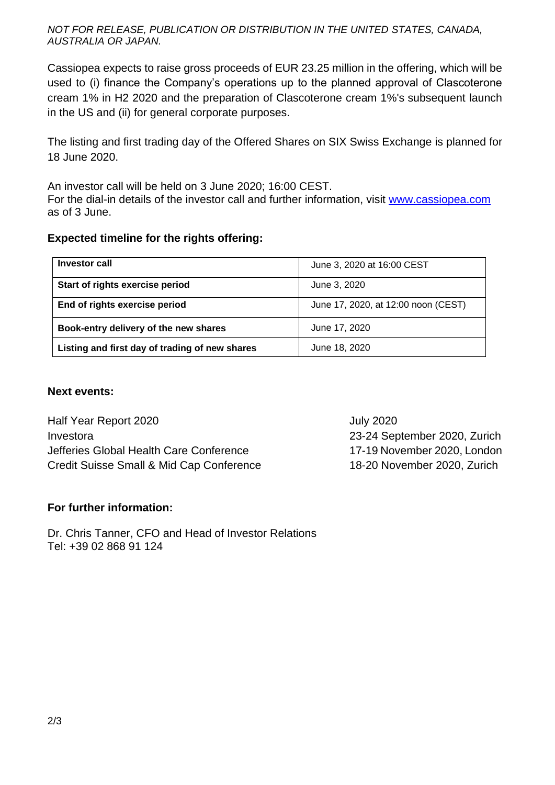*NOT FOR RELEASE, PUBLICATION OR DISTRIBUTION IN THE UNITED STATES, CANADA, AUSTRALIA OR JAPAN.*

Cassiopea expects to raise gross proceeds of EUR 23.25 million in the offering, which will be used to (i) finance the Company's operations up to the planned approval of Clascoterone cream 1% in H2 2020 and the preparation of Clascoterone cream 1%'s subsequent launch in the US and (ii) for general corporate purposes.

The listing and first trading day of the Offered Shares on SIX Swiss Exchange is planned for 18 June 2020.

An investor call will be held on 3 June 2020; 16:00 CEST. For the dial-in details of the investor call and further information, visit [www.cassiopea.com](http://www.cassiopea.com/) as of 3 June.

## **Expected timeline for the rights offering:**

| Investor call                                  | June 3, 2020 at 16:00 CEST          |
|------------------------------------------------|-------------------------------------|
| Start of rights exercise period                | June 3, 2020                        |
| End of rights exercise period                  | June 17, 2020, at 12:00 noon (CEST) |
| Book-entry delivery of the new shares          | June 17, 2020                       |
| Listing and first day of trading of new shares | June 18, 2020                       |

## **Next events:**

Half Year Report 2020 **Half Year Report 2020** Investora 23-24 September 2020, Zurich Jefferies Global Health Care Conference 17-19 November 2020, London Credit Suisse Small & Mid Cap Conference 18-20 November 2020, Zurich

## **For further information:**

Dr. Chris Tanner, CFO and Head of Investor Relations Tel: +39 02 868 91 124